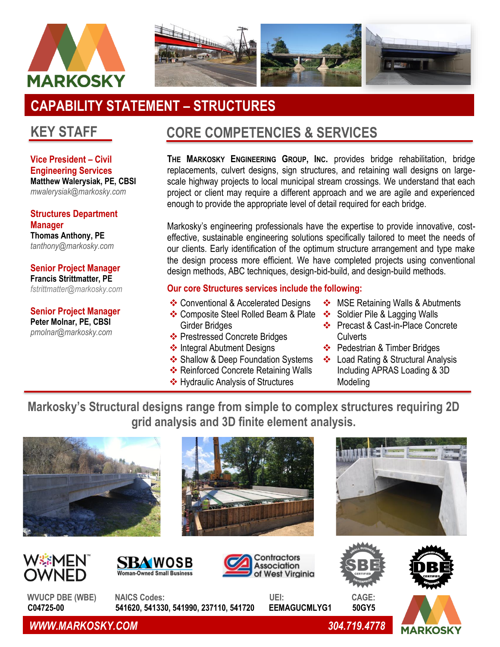



# **CAPABILITY STATEMENT – STRUCTURES**

## **KEY STAFF**

**Vice President – Civil Engineering Services Matthew Walerysiak, PE, CBSI** *mwalerysiak@markosky.com*

**Structures Department Manager Thomas Anthony, PE** *tanthony@markosky.com*

**Senior Project Manager Francis Strittmatter, PE** *[fstrittmatter@markosky.com](mailto:fstrittmatter@markosky.com)*

**Senior Project Manager Peter Molnar, PE, CBSI** *pmolnar@markosky.com*

## **CORE COMPETENCIES & SERVICES**

**THE MARKOSKY ENGINEERING GROUP, INC.** provides bridge rehabilitation, bridge replacements, culvert designs, sign structures, and retaining wall designs on largescale highway projects to local municipal stream crossings. We understand that each project or client may require a different approach and we are agile and experienced enough to provide the appropriate level of detail required for each bridge.

Markosky's engineering professionals have the expertise to provide innovative, costeffective, sustainable engineering solutions specifically tailored to meet the needs of our clients. Early identification of the optimum structure arrangement and type make the design process more efficient. We have completed projects using conventional design methods, ABC techniques, design-bid-build, and design-build methods.

### **Our core Structures services include the following:**

- ❖ Conventional & Accelerated Designs
- ❖ Composite Steel Rolled Beam & Plate Girder Bridges
- ❖ Prestressed Concrete Bridges
- ❖ Integral Abutment Designs
- ❖ Shallow & Deep Foundation Systems
- ❖ Reinforced Concrete Retaining Walls
- ❖ Hydraulic Analysis of Structures
- ❖ MSE Retaining Walls & Abutments
- ❖ Soldier Pile & Lagging Walls
- ❖ Precast & Cast-in-Place Concrete **Culverts**
- ❖ Pedestrian & Timber Bridges
- ❖ Load Rating & Structural Analysis Including APRAS Loading & 3D Modeling

**Markosky's Structural designs range from simple to complex structures requiring 2D grid analysis and 3D finite element analysis.**



*WWW.MARKOSKY.COM 304.719.4778*

**MARKOSK**